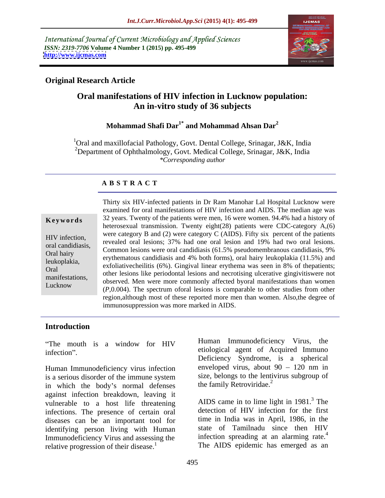International Journal of Current Microbiology and Applied Sciences *ISSN: 2319-7706* **Volume 4 Number 1 (2015) pp. 495-499 <http://www.ijcmas.com>**



## **Original Research Article**

# **Oral manifestations of HIV infection in Lucknow population: An in-vitro study of 36 subjects**

## **Mohammad Shafi Dar1\* and Mohammad Ahsan Dar<sup>2</sup>**

<sup>1</sup>Oral and maxillofacial Pathology, Govt. Dental College, Srinagar, J&K, India <sup>2</sup>Department of Ophthalmology, Govt. Medical College, Srinagar, J&K, India *\*Corresponding author* 

### **A B S T R A C T**

Lucknow

Thirty six HIV-infected patients in Dr Ram Manohar Lal Hospital Lucknow were examined for oral manifestations of HIV infection and AIDS. The median age was **Keywords** 32 years. Twenty of the patients were men, 16 were women. 94.4% had a history of heterosexual transmission. Twenty eight(28) patients were CDC-category A,(6) were category B and (2) were category C (AIDS). Fifty six percent of the patients  $r_{\text{en}}$  and  $r_{\text{en}}$  infection,<br>revealed oral lesions; 37% had one oral lesion and 19% had two oral lesions. oral candidiasis,<br>Common lesions were oral candidiasis (61.5% pseudomembranous candidiasis, 9% Oral hairy<br>
erythematous candidiasis and 4% both forms), oral hairy leukoplakia (11.5%) and<br>
Oral hairy leukoplakia (11.5%) and exfoliativecheilitis (6%). Gingival linear erythema was seen in 8% of thepatients; leukoplakia, Oral<br>menifestations<br>menifestations other lesions like periodontal lesions and necrotising ulcerative gingivitiswere not manifestations,<br>I usknow observed. Men were more commonly affected byoral manifestations than women (*P*,0.004). The spectrum oforal lesions is comparable to other studies from other region,although most of these reported more men than women. Also,the degree of immunosuppression was more marked in AIDS.

### **Introduction**

Human Immunodeficiency virus infection is a serious disorder of the immune system size, belongs to the lentivirus subgroup of in which the body's normal defenses the family Retroviridae.<sup>2</sup> against infection breakdown, leaving it vulnerable to a host life threatening infections. The presence of certain oral diseases can be an important tool for identifying person living with Human Immunodeficiency Virus and assessing the relative progression of their disease.<sup>1</sup> relative progression of their disease.<sup>1</sup> The AIDS epidemic has emerged as an

The mouth is a window for HIV **Human** Immunodenciency virus, the infection". Contraction and the enormous enormal agent of Acquired Immuno Human Immunodeficiency Virus, the etiological agent of Acquired Immuno Deficiency Syndrome, is a spherical enveloped virus, about  $90 - 120$  nm in size, belongs to the lentivirus subgroup of the family Retroviridae.<sup>2</sup>

> AIDS came in to lime light in  $1981<sup>3</sup>$ . The detection of HIV infection for the first time in India was in April, 1986, in the state of Tamilnadu since then HIV infection spreading at an alarming rate.<sup>4</sup>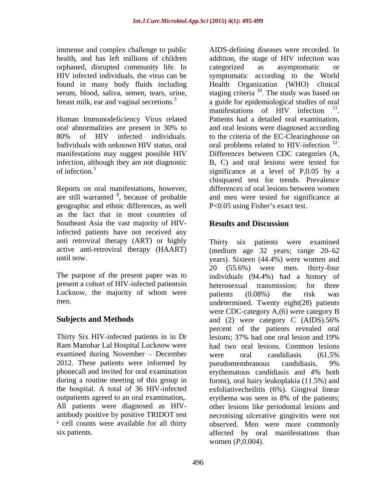immense and complex challenge to public orphaned, disrupted community life. In found in many body fluids including

Human Immunodeficiency Virus related Patients had a detailed oral examination, manifestations may suggest possible HIV Differences between CDC categories (A, infection, although they are not diagnostic

Reports on oral manifestations, however, are still warranted  $8$ , because of probable geographic and ethnic differences, as well as the fact that in most countries of Southeast Asia the vast majority of HIV-<br>Results and Discussion infected patients have not received any anti retroviral therapy (ART) or highly active anti-retroviral therapy (HAART)

present a cohort of HIV-infected patientsin heterosexual transmission: for three Lucknow, the majority of whom were patients (0.08%) the risk was

Thirty Six HIV-infected patients in in Dr examined during November – December vere oral candidiasis (61.5%) 2012. These patients were informed by pseudomembranous candidiasis, 9% phonecall and invited for oral examination erythematous candidiasis and 4% both outpatients agreed to an oral examination, erythema was seen in 8% of the patients;

health, and has left millions of children addition, the stage of HIV infection was HIV infected individuals, the virus can be symptomatic according to the World serum, blood, saliva, semen, tears, urine, staging criteria  $10$ . The study was based on breast milk, ear and vaginal secretions.<sup>3</sup> a guide for epidemiological studies of oral oral abnormalities are present in 30% to 80% of HIV infected individuals. to the criteria of the EC-Clearinghouse on Individuals with unknown HIV status, oral oral problems related to HIV-infection <sup>12</sup>. of infection.5 significance at a level of P,0.05 by a are still warranted <sup>8</sup>, because of probable and men were tested for significance at AIDS-defining diseases were recorded. In categorized as asymptomatic or Health Organization (WHO) clinical manifestations of HIV infection <sup>11</sup>. 11 manifestations of HIV infection<sup>11</sup>.<br>Patients had a detailed oral examination,<br>and oral lesions were diagnosed according oral problems related to HIV-infection <sup>12</sup>.<br>Differences between CDC categories (A, B, C) and oral lesions were tested for chisquared test for trends. Prevalence differences of oral lesions between women P<0.05 using Fisher's exact test.

# **Results and Discussion**

until now. years). Sixteen (44.4%) were women and The purpose of the present paper was to individuals (94.4%) had a history of men. undetermined. Twenty eight(28) patients **Subjects and Methods** and (2) were category C (AIDS).56% Ram Manohar Lal Hospital Lucknow were had two oral lesions. Common lesions during a routine meeting of this group in forms), oral hairy leukoplakia (11.5%) and the hospital. A total of 36 HIV-infected exfoliativecheilitis (6%). Gingival linear All patients were diagnosed as HIV- other lesions like periodontal lesions and antibody positive by positive TRIDOT test necrotising ulcerative gingivitis were not <sup>1</sup> cell counts were available for all thirty observed. Men were more commonly six patients. affected by oral manifestations than Thirty six patients were examined (medium age 32 years; range 20–62 20 (55.6%) were men. thirty-four heterosexual transmission; for three patients (0.08%) the risk was were CDC-category A,(6) were category B and (2) were category C (AIDS).56% percent of the patients revealed oral lesions; 37% had one oral lesion and 19% were oral candidiasis (61.5% pseudomembranous candidiasis, 9% erythematous candidiasis and 4% both erythema was seen in 8% of the patients; women (*P*,0.004).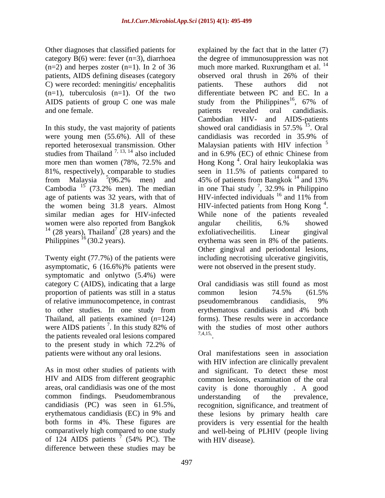$(n=2)$  and herpes zoster  $(n=1)$ . In 2 of 36 much more marked. Ruxrungtham et al. <sup>14</sup> patients, AIDS defining diseases (category C) were recorded: meningitis/ encephalitis patients. These authors did not AIDS patients of group C one was male study from the Philippines<sup>16</sup>,  $67\%$  of and one female. The contract of the contract of the patients in revealed or all candidiasis.

In this study, the vast majority of patients showed oral candidiasis in  $57.5\%$ <sup>15</sup>. Oral were young men (55.6%). All of these candidiasis was recorded in 35.9% of 81%, respectively), comparable to studies seen in 11.5% of patients compared to from Malaysia  $5(96.2\%$  men) and 45% of patients from Bangkok  $^{14}$  and 13% age of patients was 32 years, with that of the women being 31.8 years. Almost similar median ages for HIV-infected While none of the patients revealed women were also reported from Bangkok angular cheilitis, 6.% showed <sup>14</sup> (28 years), Thailand<sup>7</sup> (28 years) and the exfoliative cheilitis. Linear gingival Philippines<sup>16</sup> (30.2 years). erythema was seen in 8% of the patients.

Twenty eight (77.7%) of the patients were asymptomatic, 6 (16.6%)% patients were were not observed in the present study. symptomatic and onlytwo (5.4%) were category C (AIDS), indicating that a large proportion of patients was still in a status common lesion 74.5% (61.5%) of relative immunocompetence, in contrast to other studies. In one study from Thailand, all patients examined (*n*=124) were AIDS patients  $\frac{7}{1}$ . In this study 82% of with the patients revealed oral lessons compared  $\frac{7,4,15}{7,4,15}$ the patients revealed oral lesions compared to the present study in which 72.2% of

areas, oral candidiasis was one of the most common findings. Pseudomembranous both forms in 4%. These figures are of 124 AIDS patients  $\frac{7}{1}$  (54% PC). The difference between these studies may be

Other diagnoses that classified patients for explained by the fact that in the latter (7) category B(6) were: fever (n=3), diarrhoea the degree of immunosuppression was not  $(n=1)$ , tuberculosis  $(n=1)$ . Of the two differentiate between PC and EC. In a reported heterosexual transmission. Other Malaysian patients with HIV infection  $\overline{S}$ studies from Thailand  $^{7,13,14}$  also included and in 6.9% (EC) of ethnic Chinese from more men than women (78%, 72.5% and Hong Kong<sup>4</sup>. Oral hairy leukoplakia was from Malaysia  $5(96.2\%$  men) and 45% of patients from Bangkok  $^{14}$  and 13% Cambodia  $^{15}$  (73.2% men). The median in one Thai study  $^7$ , 32.9% in Philippino  $7(28 \text{ years})$  and the exfolicity exhibition I in each cinqual (28 years) and the exfoliative cheilitis. Linear gingival Philippines  $^{16}$  (30.2 years). erythema was seen in 8% of the patients. much more marked. Ruxrungtham et al. <sup>14</sup> observed oral thrush in 26% of their patients. These authors did not study from the Philippines<sup>16</sup>, 67% of , 67% of patients revealed oral candidiasis. Cambodian HIV- and AIDS-patients showed oral candidiasis in 57.5% <sup>15</sup>. Oral  $^{15}$  Orel . Oral candidiasis was recorded in 35.9% of  $5<sub>5</sub>$ and in 6.9% (EC) of ethnic Chinese from seen in 11.5% of patients compared to  $14$  and  $120/$ and 13% , 32.9% in Philippino HIV-infected individuals  $16$  and 11% from and 11% from HIV-infected patients from Hong Kong  $4$ . 4 HIV-infected patients from Hong Kong<sup>4</sup>.<br>While none of the patients revealed angular cheilitis, 6.% showed exfoliativecheilitis. Linear gingival Other gingival and periodontal lesions, including necrotising ulcerative gingivitis, were not observed in the present study.

In this study 82% of with the studies of most other authors Oral candidiasis was still found as most common lesion 74.5% (61.5% pseudomembranous candidiasis, 9% erythematous candidiasis and 4% both forms). These results were in accordance with the studies of most other authors 7,4,15, . A construction of the construction of the construction of the construction of the construction of the construction of the construction of the construction of the construction of the construction of the construction of th

patients were without any oral lesions. Oral manifestations seen in association As in most other studies of patients with and significant. To detect these most HIV and AIDS from different geographic common lesions, examination of the oral candidiasis (PC) was seen in 61.5%, recognition, significance, and treatment of erythematous candidiasis (EC) in 9% and these lesions by primary health care comparatively high compared to one study and well-being of PLHIV (people living (54% PC). The with HIV infection are clinically prevalent cavity is done thoroughly . A good understanding of the prevalence, providers is very essential for the health with HIV disease).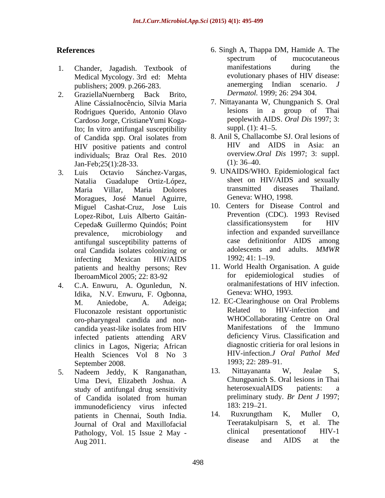- Medical Mycology. 3rd ed: Mehta publishers; 2009. p.266-283.
- 2. GraziellaNuernberg Back Brito, *Dermatol*. 1999; 26: 294 304. Aline CássiaInocêncio, Sílvia Maria Rodrigues Querido, Antonio Olavo Cardoso Jorge, CristianeYumi Koga-Ito; In vitro antifungal susceptibility suppl. (1): 41–5. individuals; Braz Oral Res. 2010 overview.  $\overline{O}$ <br>
Ian-Feb: 25(1): 28-33 (1): 36-40. Jan-Feb;25(1):28-33.
- Moragues, José Manuel Aguirre, Miguel Cashat-Cruz, Jose Luis antifungal susceptibility patterns of oral Candida isolates colonizing or adolescents an<br>infecting Mexican HIV/AIDS 1992:41:1-19. infecting Mexican HIV/AIDS 1992; 41: 1–19. patients and healthy persons; Rev
- 4. C.A. Enwuru, A. Ogunledun, N. Idika, N.V. Enwuru, F. Ogbonna, oro-pharyngeal candida and non clinics in Lagos, Nigeria; African Health Sciences Vol 8 No 3 HIV-infection.*J C*<br>September 2008 1993: 22: 289–91. September 2008.<br>Nadeem Leddy K. Ranganathan 13. Nittayananta W. Jealae S.
- 5. Nadeem Jeddy, K Ranganathan, 13. Nittayananta W, Jealae S, immunodeficiency virus infected<br>
natients in Chennai South India 14. Ruxrungtham K, Muller O, Aug 2011. Aug 2011.
- **References** 6. Singh A, Thappa DM, Hamide A. The 1. Chander, Jagadish. Textbook of manifestations during the Medical Mycology 3rd ed: Mehta evolutionary phases of HIV disease: spectrum of mucocutaneous manifestations during the evolutionary phases of HIV disease: anemerging Indian scenario. *J Dermatol.* 1999; 26: 294 304.
	- 7. Nittayananta W, Chungpanich S. Oral lesions in a group of Thai peoplewith AIDS. *Oral Dis* 1997; 3: suppl.  $(1)$ : 41–5.
	- of Candida spp. Oral isolates from 8. Anil S, Challacombe SJ. Oral lesions of HIV positive patients and control HIV and AIDS in Asia: an 8. Anil S, Challacombe SJ. Oral lesions of HIV and AIDS in Asia: an overview.*Oral Dis* 1997; 3: suppl.  $(1)$ : 36–40.
- 3. Luis Octavio Sánchez-Vargas, 9. UNAIDS/WHO. Epidemiological fact Natalia Guadalupe Ortiz-López, sheet on HIV/AIDS and sexually Maria Villar, Maria Dolores transmitted diseases Thailand. Geneva: WHO, 1998.
	- Lopez-Ribot, Luis Alberto Gaitán-<br>Cepeda & Guillermo Quindós: Point classificationsystem for HIV Cepeda& Guillermo Quindós; Point prevalence, microbiology and infection and expanded surveillance 10. Centers for Disease Control and Prevention (CDC). 1993 Revised classificationsystem for HIV infection and expanded surveillance case definitionfor AIDS among adolescents and adults. *MMWR*  1992; 41: 1–19.
	- IberoamMicol 2005; 22: 83-92 for epidemiological studies of<br>C A Enwuru A Ogunledun N oralmanifestations of HIV infection. 11. World Health Organisation. A guide for epidemiological studies of oralmanifestations of HIV infection. Geneva: WHO, 1993.
	- M. Aniedobe, A. Adeiga; 12. EC-Clearinghouse on Oral Problems Fluconazole resistant opportunistic candida yeast-like isolates from HIV infected patients attending ARV deficiency Virus. Classification and Related to HIV-infection WHOCollaborating Centre on Oral Manifestations of the Immuno deficiency Virus. Classification and diagnostic critieria for oral lesions in HIV-infection.*J Oral Pathol Med* 1993; 22: 289–91.
	- Uma Devi, Elizabeth Joshua. A study of antifungal drug sensitivity heterosexual AIDS patients: a of Candida isolated from human preliminary study. Br Dent J 1997; 13. Nittayananta W, Jealae S, Chungpanich S. Oral lesions in Thai heterosexualAIDS patients: a preliminary study. *Br Dent J* 1997; 183: 219–21.
	- patients in Chennai, South India. 14. Ruxrungtham K, Muller O, Iournal of Oral and Maxillofacial and Teeratakulpisarn S, et al. The Journal of Oral and Maxillofacial and Teeratakulpisarn S, et al. The<br>Pathology Vol. 15 Issue 2 May - clinical presentation of HIV-1 Pathology, Vol. 15 Issue 2 May - clinical presentation of HIV-1<br>Aug 2011 14. Ruxrungtham K, Muller O, Teeratakulpisarn S, et clinical presentationof HIV-1 disease and AIDS at the